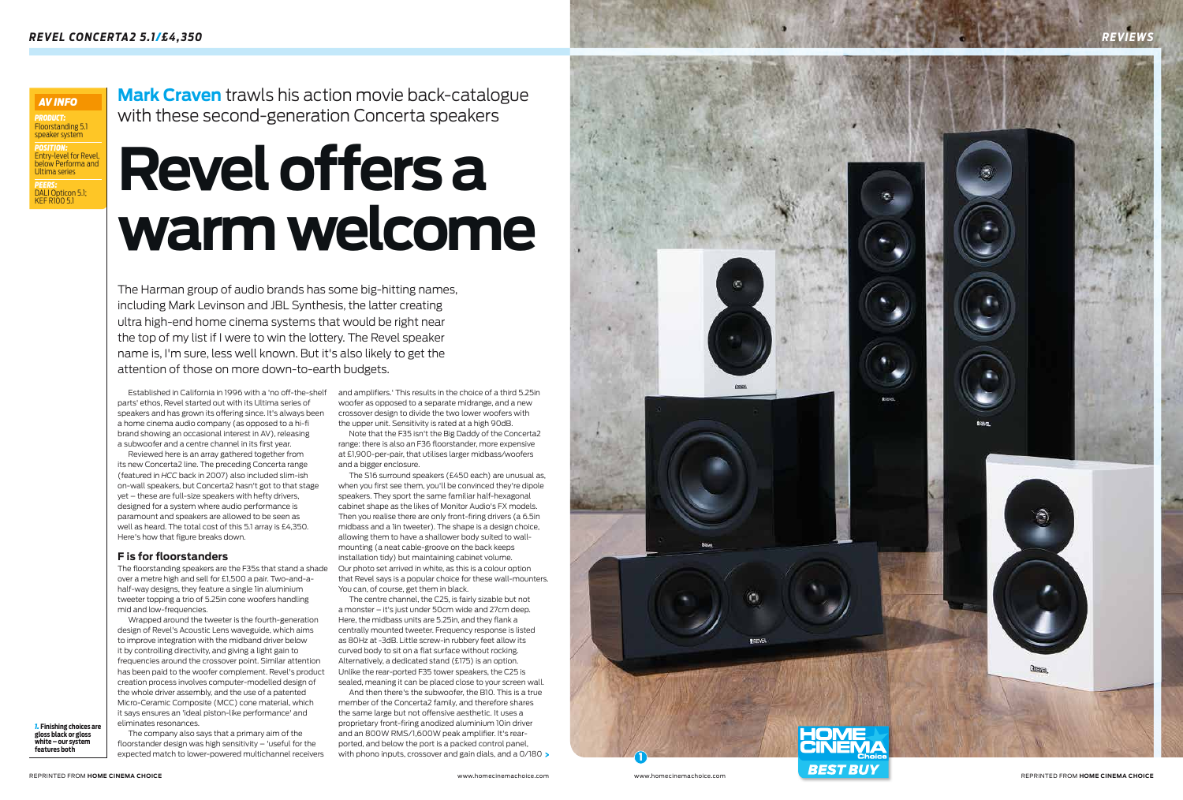and amplifiers.' This results in the choice of a third 5.25in woofer as opposed to a separate midrange, and a new crossover design to divide the two lower woofers with the upper unit. Sensitivity is rated at a high 90dB.

Note that the F35 isn't the Big Daddy of the Concerta2 range: there is also an F36 floorstander, more expensive at £1,900-per-pair, that utilises larger midbass/woofers and a bigger enclosure.

And then there's the subwoofer, the B10. This is a true member of the Concerta2 family, and therefore shares the same large but not offensive aesthetic. It uses a proprietary front-firing anodized aluminium 10in driver and an 800W RMS/1,600W peak amplifier. It's rearported, and below the port is a packed control panel, with phono inputs, crossover and gain dials, and a 0/180 >

The S16 surround speakers (£450 each) are unusual as, when you first see them, you'll be convinced they're dipole speakers. They sport the same familiar half-hexagonal cabinet shape as the likes of Monitor Audio's FX models. Then you realise there are only front-firing drivers (a 6.5in midbass and a 1in tweeter). The shape is a design choice, allowing them to have a shallower body suited to wallmounting (a neat cable-groove on the back keeps installation tidy) but maintaining cabinet volume. Our photo set arrived in white, as this is a colour option that Revel says is a popular choice for these wall-mounters. You can, of course, get them in black.

The centre channel, the C25, is fairly sizable but not a monster – it's just under 50cm wide and 27cm deep. Here, the midbass units are 5.25in, and they flank a centrally mounted tweeter. Frequency response is listed as 80Hz at -3dB. Little screw-in rubbery feet allow its curved body to sit on a flat surface without rocking. Alternatively, a dedicated stand (£175) is an option. Unlike the rear-ported F35 tower speakers, the C25 is sealed, meaning it can be placed close to your screen wall.



Established in California in 1996 with a 'no off-the-shelf parts' ethos, Revel started out with its Ultima series of speakers and has grown its offering since. It's always been a home cinema audio company (as opposed to a hi-fi brand showing an occasional interest in AV), releasing a subwoofer and a centre channel in its first year.

*POSITION:*  Entry-level for Revel, <u>Entry terestion neve</u><br>below Performa and Ultima series *PEERS:*  DALI Opticon 5.1; **AV INFO<br>
PRODUCT:**<br>
Floorstanding<br>
speaker syste<br> **POSITION:**<br>
DESITION:<br>
below Perforr<br>
Ultima series<br> **PEERS:**<br>
DALI Opticon<br>
KEF RIOO 5.1

> Reviewed here is an array gathered together from its new Concerta2 line. The preceding Concerta range (featured in *HCC* back in 2007) also included slim-ish on-wall speakers, but Concerta2 hasn't got to that stage yet – these are full-size speakers with hefty drivers, designed for a system where audio performance is paramount and speakers are allowed to be seen as well as heard. The total cost of this 5.1 array is £4,350. Here's how that figure breaks down.

### **F is for floorstanders**

The floorstanding speakers are the F35s that stand a shade over a metre high and sell for £1,500 a pair. Two-and-ahalf-way designs, they feature a single 1in aluminium tweeter topping a trio of 5.25in cone woofers handling mid and low-frequencies.

Wrapped around the tweeter is the fourth-generation design of Revel's Acoustic Lens waveguide, which aims to improve integration with the midband driver below it by controlling directivity, and giving a light gain to frequencies around the crossover point. Similar attention has been paid to the woofer complement. Revel's product creation process involves computer-modelled design of the whole driver assembly, and the use of a patented Micro-Ceramic Composite (MCC) cone material, which it says ensures an 'ideal piston-like performance' and eliminates resonances.

The company also says that a primary aim of the floorstander design was high sensitivity – 'useful for the expected match to lower-powered multichannel receivers

The Harman group of audio brands has some big-hitting names, including Mark Levinson and JBL Synthesis, the latter creating ultra high-end home cinema systems that would be right near the top of my list if I were to win the lottery. The Revel speaker name is, I'm sure, less well known. But it's also likely to get the attention of those on more down-to-earth budgets .

**Mark Craven** trawls his action movie back-catalogue with these second-generation Concerta speakers

*1.* **Finishing choices are gloss black or gloss white – our system features both**

# **Revel offers a warm welcome**

*PRODUCT:* Floorstanding 5.1 speaker system